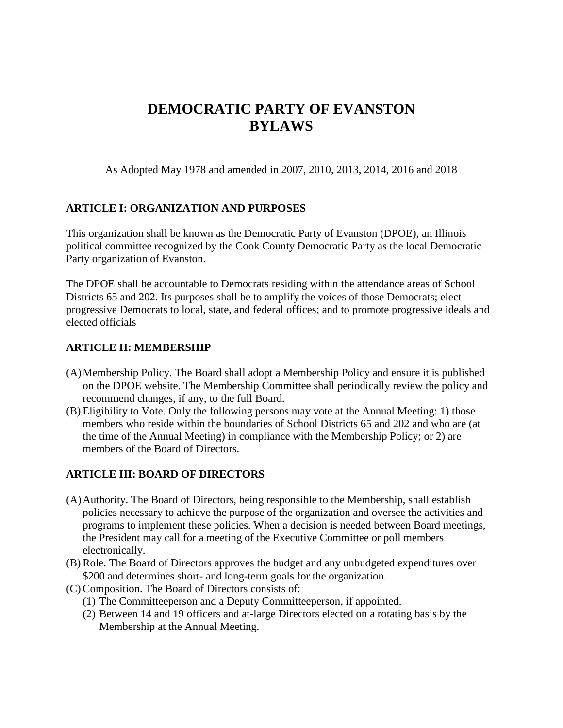# **DEMOCRATIC PARTY OF EVANSTON BYLAWS**

As Adopted May 1978 and amended in 2007, 2010, 2013, 2014, 2016 and 2018

## **ARTICLE I: ORGANIZATION AND PURPOSES**

This organization shall be known as the Democratic Party of Evanston (DPOE), an Illinois political committee recognized by the Cook County Democratic Party as the local Democratic Party organization of Evanston.

The DPOE shall be accountable to Democrats residing within the attendance areas of School Districts 65 and 202. Its purposes shall be to amplify the voices of those Democrats; elect progressive Democrats to local, state, and federal offices; and to promote progressive ideals and elected officials

### **ARTICLE II: MEMBERSHIP**

- (A)Membership Policy. The Board shall adopt a Membership Policy and ensure it is published on the DPOE website. The Membership Committee shall periodically review the policy and recommend changes, if any, to the full Board.
- (B) Eligibility to Vote. Only the following persons may vote at the Annual Meeting: 1) those members who reside within the boundaries of School Districts 65 and 202 and who are (at the time of the Annual Meeting) in compliance with the Membership Policy; or 2) are members of the Board of Directors.

### **ARTICLE III: BOARD OF DIRECTORS**

- (A)Authority. The Board of Directors, being responsible to the Membership, shall establish policies necessary to achieve the purpose of the organization and oversee the activities and programs to implement these policies. When a decision is needed between Board meetings, the President may call for a meeting of the Executive Committee or poll members electronically.
- (B) Role. The Board of Directors approves the budget and any unbudgeted expenditures over \$200 and determines short- and long-term goals for the organization.
- (C) Composition. The Board of Directors consists of:
	- (1) The Committeeperson and a Deputy Committeeperson, if appointed.
	- (2) Between 14 and 19 officers and at-large Directors elected on a rotating basis by the Membership at the Annual Meeting.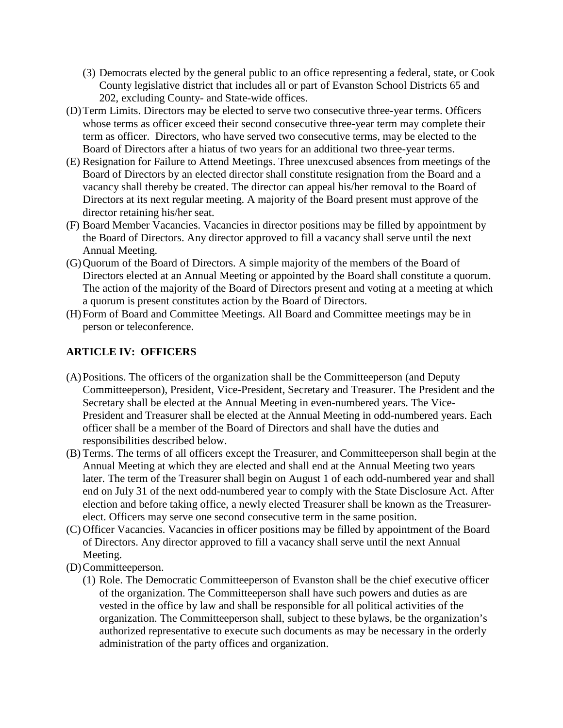- (3) Democrats elected by the general public to an office representing a federal, state, or Cook County legislative district that includes all or part of Evanston School Districts 65 and 202, excluding County- and State-wide offices.
- (D)Term Limits. Directors may be elected to serve two consecutive three-year terms. Officers whose terms as officer exceed their second consecutive three-year term may complete their term as officer. Directors, who have served two consecutive terms, may be elected to the Board of Directors after a hiatus of two years for an additional two three-year terms.
- (E) Resignation for Failure to Attend Meetings. Three unexcused absences from meetings of the Board of Directors by an elected director shall constitute resignation from the Board and a vacancy shall thereby be created. The director can appeal his/her removal to the Board of Directors at its next regular meeting. A majority of the Board present must approve of the director retaining his/her seat.
- (F) Board Member Vacancies. Vacancies in director positions may be filled by appointment by the Board of Directors. Any director approved to fill a vacancy shall serve until the next Annual Meeting.
- (G)Quorum of the Board of Directors. A simple majority of the members of the Board of Directors elected at an Annual Meeting or appointed by the Board shall constitute a quorum. The action of the majority of the Board of Directors present and voting at a meeting at which a quorum is present constitutes action by the Board of Directors.
- (H)Form of Board and Committee Meetings. All Board and Committee meetings may be in person or teleconference.

## **ARTICLE IV: OFFICERS**

- (A)Positions. The officers of the organization shall be the Committeeperson (and Deputy Committeeperson), President, Vice-President, Secretary and Treasurer. The President and the Secretary shall be elected at the Annual Meeting in even-numbered years. The Vice-President and Treasurer shall be elected at the Annual Meeting in odd-numbered years. Each officer shall be a member of the Board of Directors and shall have the duties and responsibilities described below.
- (B) Terms. The terms of all officers except the Treasurer, and Committeeperson shall begin at the Annual Meeting at which they are elected and shall end at the Annual Meeting two years later. The term of the Treasurer shall begin on August 1 of each odd-numbered year and shall end on July 31 of the next odd-numbered year to comply with the State Disclosure Act. After election and before taking office, a newly elected Treasurer shall be known as the Treasurerelect. Officers may serve one second consecutive term in the same position.
- (C) Officer Vacancies. Vacancies in officer positions may be filled by appointment of the Board of Directors. Any director approved to fill a vacancy shall serve until the next Annual Meeting.
- (D)Committeeperson.
	- (1) Role. The Democratic Committeeperson of Evanston shall be the chief executive officer of the organization. The Committeeperson shall have such powers and duties as are vested in the office by law and shall be responsible for all political activities of the organization. The Committeeperson shall, subject to these bylaws, be the organization's authorized representative to execute such documents as may be necessary in the orderly administration of the party offices and organization.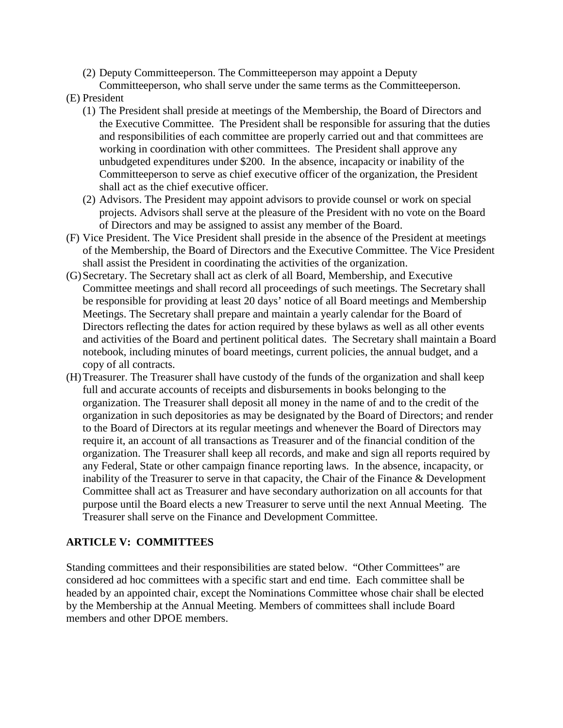- (2) Deputy Committeeperson. The Committeeperson may appoint a Deputy
- Committeeperson, who shall serve under the same terms as the Committeeperson. (E) President
	- (1) The President shall preside at meetings of the Membership, the Board of Directors and the Executive Committee. The President shall be responsible for assuring that the duties and responsibilities of each committee are properly carried out and that committees are working in coordination with other committees. The President shall approve any unbudgeted expenditures under \$200. In the absence, incapacity or inability of the Committeeperson to serve as chief executive officer of the organization, the President shall act as the chief executive officer.
	- (2) Advisors. The President may appoint advisors to provide counsel or work on special projects. Advisors shall serve at the pleasure of the President with no vote on the Board of Directors and may be assigned to assist any member of the Board.
- (F) Vice President. The Vice President shall preside in the absence of the President at meetings of the Membership, the Board of Directors and the Executive Committee. The Vice President shall assist the President in coordinating the activities of the organization.
- (G)Secretary. The Secretary shall act as clerk of all Board, Membership, and Executive Committee meetings and shall record all proceedings of such meetings. The Secretary shall be responsible for providing at least 20 days' notice of all Board meetings and Membership Meetings. The Secretary shall prepare and maintain a yearly calendar for the Board of Directors reflecting the dates for action required by these bylaws as well as all other events and activities of the Board and pertinent political dates. The Secretary shall maintain a Board notebook, including minutes of board meetings, current policies, the annual budget, and a copy of all contracts.
- (H)Treasurer. The Treasurer shall have custody of the funds of the organization and shall keep full and accurate accounts of receipts and disbursements in books belonging to the organization. The Treasurer shall deposit all money in the name of and to the credit of the organization in such depositories as may be designated by the Board of Directors; and render to the Board of Directors at its regular meetings and whenever the Board of Directors may require it, an account of all transactions as Treasurer and of the financial condition of the organization. The Treasurer shall keep all records, and make and sign all reports required by any Federal, State or other campaign finance reporting laws. In the absence, incapacity, or inability of the Treasurer to serve in that capacity, the Chair of the Finance & Development Committee shall act as Treasurer and have secondary authorization on all accounts for that purpose until the Board elects a new Treasurer to serve until the next Annual Meeting. The Treasurer shall serve on the Finance and Development Committee.

# **ARTICLE V: COMMITTEES**

Standing committees and their responsibilities are stated below. "Other Committees" are considered ad hoc committees with a specific start and end time. Each committee shall be headed by an appointed chair, except the Nominations Committee whose chair shall be elected by the Membership at the Annual Meeting. Members of committees shall include Board members and other DPOE members.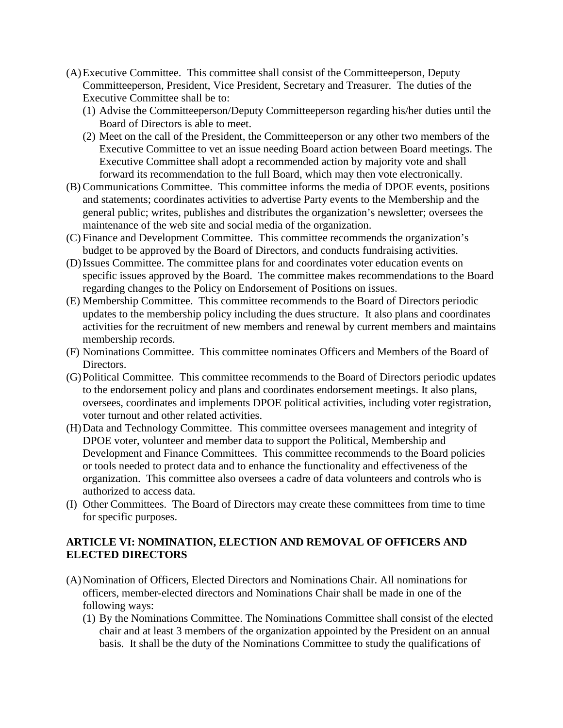- (A)Executive Committee. This committee shall consist of the Committeeperson, Deputy Committeeperson, President, Vice President, Secretary and Treasurer. The duties of the Executive Committee shall be to:
	- (1) Advise the Committeeperson/Deputy Committeeperson regarding his/her duties until the Board of Directors is able to meet.
	- (2) Meet on the call of the President, the Committeeperson or any other two members of the Executive Committee to vet an issue needing Board action between Board meetings. The Executive Committee shall adopt a recommended action by majority vote and shall forward its recommendation to the full Board, which may then vote electronically.
- (B) Communications Committee. This committee informs the media of DPOE events, positions and statements; coordinates activities to advertise Party events to the Membership and the general public; writes, publishes and distributes the organization's newsletter; oversees the maintenance of the web site and social media of the organization.
- (C) Finance and Development Committee. This committee recommends the organization's budget to be approved by the Board of Directors, and conducts fundraising activities.
- (D)Issues Committee. The committee plans for and coordinates voter education events on specific issues approved by the Board. The committee makes recommendations to the Board regarding changes to the Policy on Endorsement of Positions on issues.
- (E) Membership Committee. This committee recommends to the Board of Directors periodic updates to the membership policy including the dues structure. It also plans and coordinates activities for the recruitment of new members and renewal by current members and maintains membership records.
- (F) Nominations Committee. This committee nominates Officers and Members of the Board of Directors.
- (G)Political Committee. This committee recommends to the Board of Directors periodic updates to the endorsement policy and plans and coordinates endorsement meetings. It also plans, oversees, coordinates and implements DPOE political activities, including voter registration, voter turnout and other related activities.
- (H)Data and Technology Committee. This committee oversees management and integrity of DPOE voter, volunteer and member data to support the Political, Membership and Development and Finance Committees. This committee recommends to the Board policies or tools needed to protect data and to enhance the functionality and effectiveness of the organization. This committee also oversees a cadre of data volunteers and controls who is authorized to access data.
- (I) Other Committees. The Board of Directors may create these committees from time to time for specific purposes.

### **ARTICLE VI: NOMINATION, ELECTION AND REMOVAL OF OFFICERS AND ELECTED DIRECTORS**

- (A)Nomination of Officers, Elected Directors and Nominations Chair. All nominations for officers, member-elected directors and Nominations Chair shall be made in one of the following ways:
	- (1) By the Nominations Committee. The Nominations Committee shall consist of the elected chair and at least 3 members of the organization appointed by the President on an annual basis. It shall be the duty of the Nominations Committee to study the qualifications of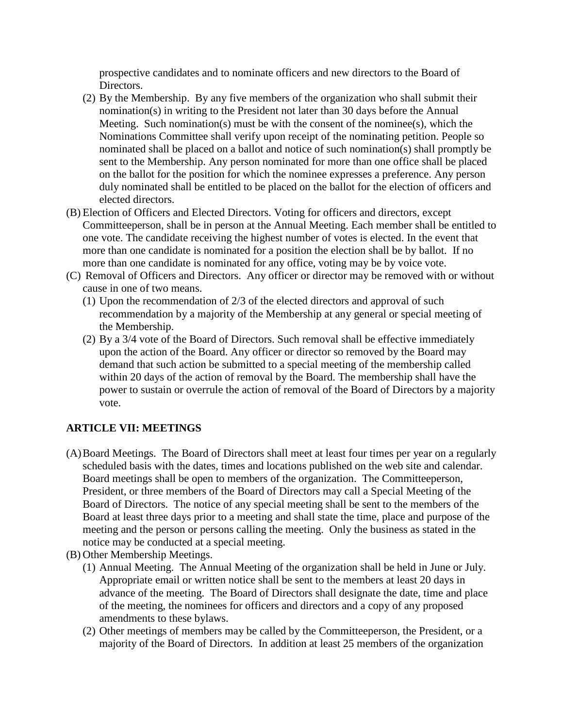prospective candidates and to nominate officers and new directors to the Board of Directors.

- (2) By the Membership. By any five members of the organization who shall submit their nomination(s) in writing to the President not later than 30 days before the Annual Meeting. Such nomination(s) must be with the consent of the nomine  $(s)$ , which the Nominations Committee shall verify upon receipt of the nominating petition. People so nominated shall be placed on a ballot and notice of such nomination(s) shall promptly be sent to the Membership. Any person nominated for more than one office shall be placed on the ballot for the position for which the nominee expresses a preference. Any person duly nominated shall be entitled to be placed on the ballot for the election of officers and elected directors.
- (B) Election of Officers and Elected Directors. Voting for officers and directors, except Committeeperson, shall be in person at the Annual Meeting. Each member shall be entitled to one vote. The candidate receiving the highest number of votes is elected. In the event that more than one candidate is nominated for a position the election shall be by ballot. If no more than one candidate is nominated for any office, voting may be by voice vote.
- (C) Removal of Officers and Directors. Any officer or director may be removed with or without cause in one of two means.
	- (1) Upon the recommendation of 2/3 of the elected directors and approval of such recommendation by a majority of the Membership at any general or special meeting of the Membership.
	- (2) By a 3/4 vote of the Board of Directors. Such removal shall be effective immediately upon the action of the Board. Any officer or director so removed by the Board may demand that such action be submitted to a special meeting of the membership called within 20 days of the action of removal by the Board. The membership shall have the power to sustain or overrule the action of removal of the Board of Directors by a majority vote.

# **ARTICLE VII: MEETINGS**

- (A)Board Meetings. The Board of Directors shall meet at least four times per year on a regularly scheduled basis with the dates, times and locations published on the web site and calendar. Board meetings shall be open to members of the organization. The Committeeperson, President, or three members of the Board of Directors may call a Special Meeting of the Board of Directors. The notice of any special meeting shall be sent to the members of the Board at least three days prior to a meeting and shall state the time, place and purpose of the meeting and the person or persons calling the meeting. Only the business as stated in the notice may be conducted at a special meeting.
- (B) Other Membership Meetings.
	- (1) Annual Meeting. The Annual Meeting of the organization shall be held in June or July. Appropriate email or written notice shall be sent to the members at least 20 days in advance of the meeting. The Board of Directors shall designate the date, time and place of the meeting, the nominees for officers and directors and a copy of any proposed amendments to these bylaws.
	- (2) Other meetings of members may be called by the Committeeperson, the President, or a majority of the Board of Directors. In addition at least 25 members of the organization